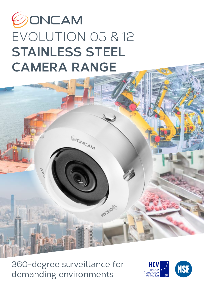# OONCAM EVOLUTION 05 & 12 **STAINLESS STEEL CAMERA RANGE**

EONCAM

360-degree surveillance for demanding environments

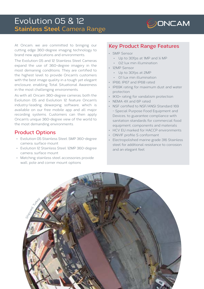## Evolution 05 & 12 **Stainless Steel** Camera Range



At Oncam, we are committed to bringing our cutting edge 360-degree imaging technology to brand new applications and environments.

The Evolution 05 and 12 Stainless Steel Cameras expand the use of 360-degree imagery in the most demaning conditions. They are certified to the highest level to provide Oncam's customers with the best image quality in a tough yet elegant enclosure, enabling Total Situational Awareness in the most challenging environments.

As with all Oncam 360-degree cameras, both the Evolution 05 and Evolution 12 feature Oncam's industry-leading dewarping software, which is available on our free mobile app and all major recording systems. Customers can then apply Oncam's unique 360-degree view of the world to the most demanding environments.

#### **Product Options**

- Evolution 05 Stainless Steel: 5MP 360-degree camera, surface mount
- Evolution 12 Stainless Steel: 12MP 360-degree camera, surface mount
- Matching stainless steel accessories provide wall, pole and corner mount options

#### **Key Product Range Features**

- 5MP Sensor
	- Up to 30fps at 1MP and ¼ MP
	- 0.2 lux min illumination
- 12MP Sensor
	- Up to 30fps at 2MP
	- 0.1 lux min illumination
- IP66, IP67 and IP68 rated
- IP69K rating for maximum dust and water protection
- IK10+ rating for vandalism protection
- NEMA 4X and 6P rated
- NSF certified to NSF/ANSI Standard 169 - Special Purpose Food Equipment and Devices, to guarantee compliance with sanitation standards for commercial food equipment, components and materials
- HCV EU marked for HACCP environments
- ONVIF profile S conformant
- Electropolished marine grade 316 Stainless steel for additional resistance to corrosion and an elegant feel

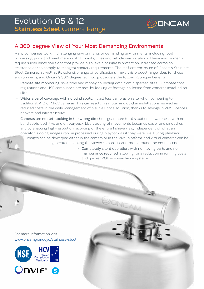

### **A 360-degree View of Your Most Demanding Environments**

Many companies work in challenging environments or demanding environments, including food processing, ports and maritime, industrial plants, cities and vehicle wash stations. These environments require surveillance solutions that provide high levels of ingress protection, increased corrosion resistance or can comply to stringent sanitary requirements. The resilient enclosure of Oncam's Stainless Steel Cameras, as well as its extensive range of certifications, make this product range ideal for these environments, and Oncam's 360-degree technology, delivers the following unique benefits:

- Remote site monitoring: save time and money collecting data from dispersed sites. Guarantee that regulations and HSE compliance are met, by looking at footage collected from cameras installed on site;
- Wider area of coverage with no blind spots: install less cameras on site, when comparing to traditional PTZ or NFoV cameras. This can result in simpler and quicker installations, as well as reduced costs in the daily management of a surveillance solution, thanks to savings in VMS licences, harware and infrastructure;
- Cameras are not left looking in the wrong direction, guarantee total situational awareness, with no blind spots, both live and on playback. Live tracking of movements becomes easier and smoother, and by enabling high-resolution recording of the entire fisheye view, independent of what an operator is doing, images can be processed during playback as if they were live. During playback,

images can be dewarped either in the camera or in the VMS platform, and virtual cameras can be generated enabling the viewer to pan, tilt and zoom around the entire scene.

> • Completely silent operation, with no moving parts and no maintenance required, allowing for a reduction in running costs and quicker ROI on surveillance systems.

> > ONC

For more information visit: [www.oncamgrandeye/](http://www.oncamgrandeye/exd)stainless-steel